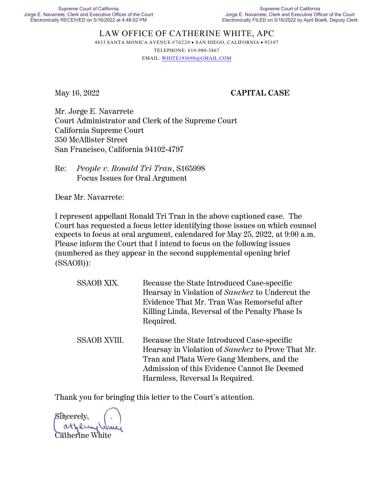## LAW OFFICE OF CATHERINE WHITE, APC 4833 SANTA MONICA AVENUE #70220 · SAN DIEGO, CALIFORNIA · 92107 TELEPHONE: 619-980-3867

EMAIL: [WHITE193690@GMAIL.COM](mailto:WHITE193690@GMAIL.COM)

## May 16, 2022 **CAPITAL CASE**

Mr. Jorge E. Navarrete Court Administrator and Clerk of the Supreme Court California Supreme Court 350 McAllister Street San Francisco, California 94102-4797

Re: *People v. Ronald Tri Tran*, S165998 Focus Issues for Oral Argument

Dear Mr. Navarrete:

I represent appellant Ronald Tri Tran in the above captioned case. The Court has requested a focus letter identifying those issues on which counsel expects to focus at oral argument, calendared for May 25, 2022, at 9:00 a.m. Please inform the Court that I intend to focus on the following issues (numbered as they appear in the second supplemental opening brief (SSAOB)):

| SSAOB XIX.          | Because the State Introduced Case-specific<br>Hearsay in Violation of Sanchez to Undercut the<br>Evidence That Mr. Tran Was Remorseful after<br>Killing Linda, Reversal of the Penalty Phase Is<br>Required.                   |
|---------------------|--------------------------------------------------------------------------------------------------------------------------------------------------------------------------------------------------------------------------------|
| <b>SSAOB XVIII.</b> | Because the State Introduced Case-specific<br>Hearsay in Violation of Sanchez to Prove That Mr.<br>Tran and Plata Were Gang Members, and the<br>Admission of this Evidence Cannot Be Deemed<br>Harmless, Reversal Is Required. |

Thank you for bringing this letter to the Court's attention.

Sincerely, Catherine White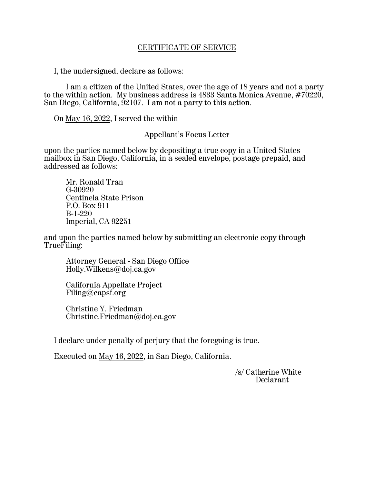### CERTIFICATE OF SERVICE

I, the undersigned, declare as follows:

I am a citizen of the United States, over the age of 18 years and not a party to the within action. My business address is 4833 Santa Monica Avenue, #70220, San Diego, California,  $\frac{52107}{1}$ . I am not a party to this action.

On May 16, 2022, I served the within

Appellant's Focus Letter

upon the parties named below by depositing a true copy in a United States mailbox in San Diego, California, in a sealed envelope, postage prepaid, and addressed as follows:

Mr. Ronald Tran G-30920 Centinela State Prison P.O. Box 911 B-1-220 Imperial, CA 92251

and upon the parties named below by submitting an electronic copy through TrueFiling:

Attorney General - San Diego Office Holly.Wilkens@doj.ca.gov

California Appellate Project Filing@capsf.org

Christine Y. Friedman Christine.Friedman@doj.ca.gov

I declare under penalty of perjury that the foregoing is true.

Executed on May 16, 2022, in San Diego, California.

 /s/ Catherine White Declarant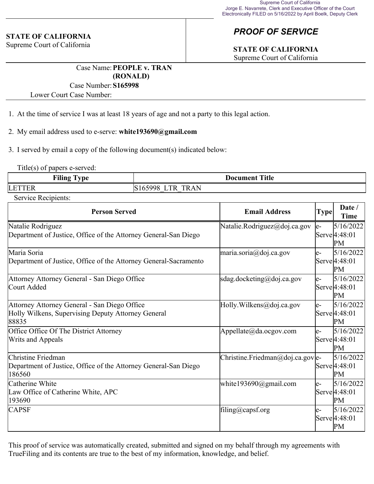#### **STATE OF CALIFORNIA**

Supreme Court of California

# *PROOF OF SERVICE*

## **STATE OF CALIFORNIA**

Supreme Court of California

Case Name:**PEOPLE v. TRAN (RONALD)**

#### Case Number:**S165998**

Lower Court Case Number:

- 1. At the time of service I was at least 18 years of age and not a party to this legal action.
- 2. My email address used to e-serve: **white193690@gmail.com**
- 3. I served by email a copy of the following document(s) indicated below:

Title(s) of papers e-served:

| .<br><b>1999</b><br>vm a<br><b>Filing</b><br>$\mathbf{v}$ . | <b>Title</b><br>Document                                    |
|-------------------------------------------------------------|-------------------------------------------------------------|
| LET <sup>®</sup><br>T EIZ                                   | $\mathbf{A}$<br><b></b><br>TD.<br><b>RAN</b><br>K<br>$\sim$ |

Service Recipients:

| <b>Person Served</b>                                                                                        | <b>Email Address</b>              | <b>Type</b> | Date /<br><b>Time</b>                         |
|-------------------------------------------------------------------------------------------------------------|-----------------------------------|-------------|-----------------------------------------------|
| Natalie Rodriguez<br>Department of Justice, Office of the Attorney General-San Diego                        | Natalie.Rodriguez@doj.ca.gov      | le-         | 5/16/2022<br>Serve 4:48:01<br>PM              |
| Maria Soria<br>Department of Justice, Office of the Attorney General-Sacramento                             | maria.soria@doj.ca.gov            | le-         | 5/16/2022<br>Serve <sup>[4:48:01]</sup><br>PM |
| Attorney Attorney General - San Diego Office<br>Court Added                                                 | sdag.docketing@doj.ca.gov         | $e-$        | 5/16/2022<br>Serve <sup>[4:48:01]</sup><br>PM |
| Attorney Attorney General - San Diego Office<br>Holly Wilkens, Supervising Deputy Attorney General<br>88835 | Holly.Wilkens@doj.ca.gov          | le-         | 5/16/2022<br>Serve <sup>[4:48:01]</sup><br>PM |
| Office Office Of The District Attorney<br><b>Writs and Appeals</b>                                          | Appellate@da.ocgov.com            | le-         | 5/16/2022<br>Serve <sup>[4:48:01]</sup><br>PM |
| Christine Friedman<br>Department of Justice, Office of the Attorney General-San Diego<br>186560             | Christine. Friedman@doj.ca.gov e- |             | 5/16/2022<br>Serve <sup>[4:48:01]</sup><br>PM |
| Catherine White<br>Law Office of Catherine White, APC<br>193690                                             | white193690@gmail.com             | le-         | 5/16/2022<br>Serve 4:48:01<br>PM              |
| <b>CAPSF</b>                                                                                                | filing@capsf.org                  | e-          | 5/16/2022<br>Serve 4:48:01<br>PM              |

This proof of service was automatically created, submitted and signed on my behalf through my agreements with TrueFiling and its contents are true to the best of my information, knowledge, and belief.